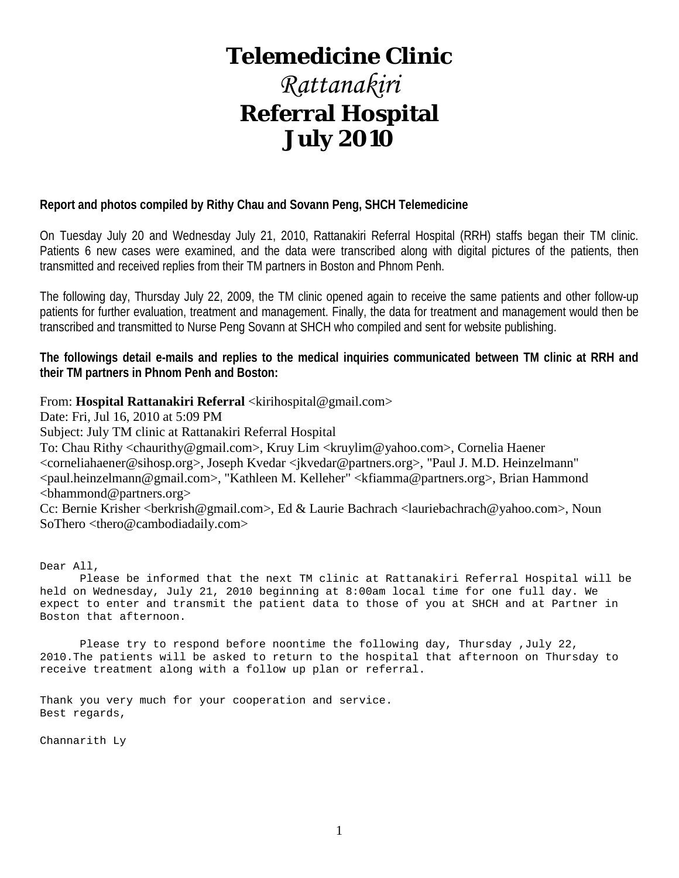# **Telemedicine Clinic**

# *Rattanakiri* **Referral Hospital July 2010**

# **Report and photos compiled by Rithy Chau and Sovann Peng, SHCH Telemedicine**

On Tuesday July 20 and Wednesday July 21, 2010, Rattanakiri Referral Hospital (RRH) staffs began their TM clinic. Patients 6 new cases were examined, and the data were transcribed along with digital pictures of the patients, then transmitted and received replies from their TM partners in Boston and Phnom Penh.

The following day, Thursday July 22, 2009, the TM clinic opened again to receive the same patients and other follow-up patients for further evaluation, treatment and management. Finally, the data for treatment and management would then be transcribed and transmitted to Nurse Peng Sovann at SHCH who compiled and sent for website publishing.

**The followings detail e-mails and replies to the medical inquiries communicated between TM clinic at RRH and their TM partners in Phnom Penh and Boston:**

### From: **Hospital Rattanakiri Referral** <kirihospital@gmail.com>

Date: Fri, Jul 16, 2010 at 5:09 PM

Subject: July TM clinic at Rattanakiri Referral Hospital

To: Chau Rithy <chaurithy@gmail.com>, Kruy Lim <kruylim@yahoo.com>, Cornelia Haener <corneliahaener@sihosp.org>, Joseph Kvedar <jkvedar@partners.org>, "Paul J. M.D. Heinzelmann" <paul.heinzelmann@gmail.com>, "Kathleen M. Kelleher" <kfiamma@partners.org>, Brian Hammond <bhammond@partners.org>

Cc: Bernie Krisher <br/>berkrish@gmail.com>, Ed & Laurie Bachrach <lauriebachrach@yahoo.com>, Noun SoThero <thero@cambodiadaily.com>

Dear All,

 Please be informed that the next TM clinic at Rattanakiri Referral Hospital will be held on Wednesday, July 21, 2010 beginning at 8:00am local time for one full day. We expect to enter and transmit the patient data to those of you at SHCH and at Partner in Boston that afternoon.

 Please try to respond before noontime the following day, Thursday ,July 22, 2010.The patients will be asked to return to the hospital that afternoon on Thursday to receive treatment along with a follow up plan or referral.

Thank you very much for your cooperation and service. Best regards,

Channarith Ly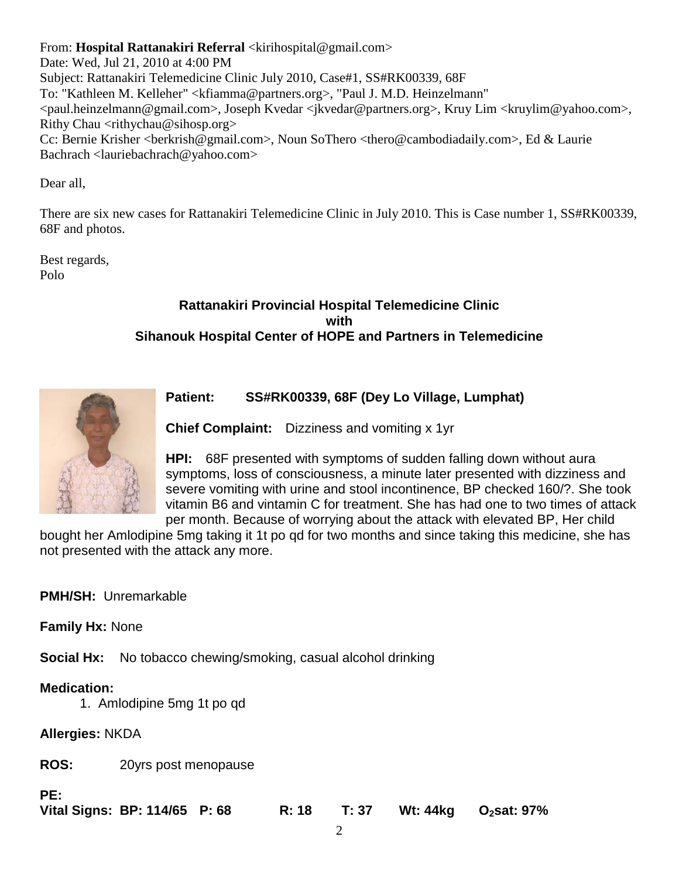From: **Hospital Rattanakiri Referral** <kirihospital@gmail.com>

Date: Wed, Jul 21, 2010 at 4:00 PM Subject: Rattanakiri Telemedicine Clinic July 2010, Case#1, SS#RK00339, 68F To: "Kathleen M. Kelleher" <kfiamma@partners.org>, "Paul J. M.D. Heinzelmann" <paul.heinzelmann@gmail.com>, Joseph Kvedar <jkvedar@partners.org>, Kruy Lim <kruylim@yahoo.com>, Rithy Chau  $\langle$ rithychau@sihosp.org $\rangle$ Cc: Bernie Krisher <br/>berkrish@gmail.com>, Noun SoThero <thero@cambodiadaily.com>, Ed & Laurie Bachrach <lauriebachrach@yahoo.com>

Dear all,

There are six new cases for Rattanakiri Telemedicine Clinic in July 2010. This is Case number 1, SS#RK00339, 68F and photos.

Best regards, Polo

# **Rattanakiri Provincial Hospital Telemedicine Clinic with Sihanouk Hospital Center of HOPE and Partners in Telemedicine**



# **Patient: SS#RK00339, 68F (Dey Lo Village, Lumphat)**

**Chief Complaint:** Dizziness and vomiting x 1yr

**HPI:** 68F presented with symptoms of sudden falling down without aura symptoms, loss of consciousness, a minute later presented with dizziness and severe vomiting with urine and stool incontinence, BP checked 160/?. She took vitamin B6 and vintamin C for treatment. She has had one to two times of attack per month. Because of worrying about the attack with elevated BP, Her child

bought her Amlodipine 5mg taking it 1t po qd for two months and since taking this medicine, she has not presented with the attack any more.

# **PMH/SH:** Unremarkable

**Family Hx:** None

**Social Hx:** No tobacco chewing/smoking, casual alcohol drinking

# **Medication:**

1. Amlodipine 5mg 1t po qd

**Allergies:** NKDA

**ROS:** 20yrs post menopause

**PE:**

| Vital Signs: BP: 114/65 P: 68<br>R: 18 T: 37 Wt: 44kg O <sub>2</sub> sat: 97% |  |
|-------------------------------------------------------------------------------|--|
|-------------------------------------------------------------------------------|--|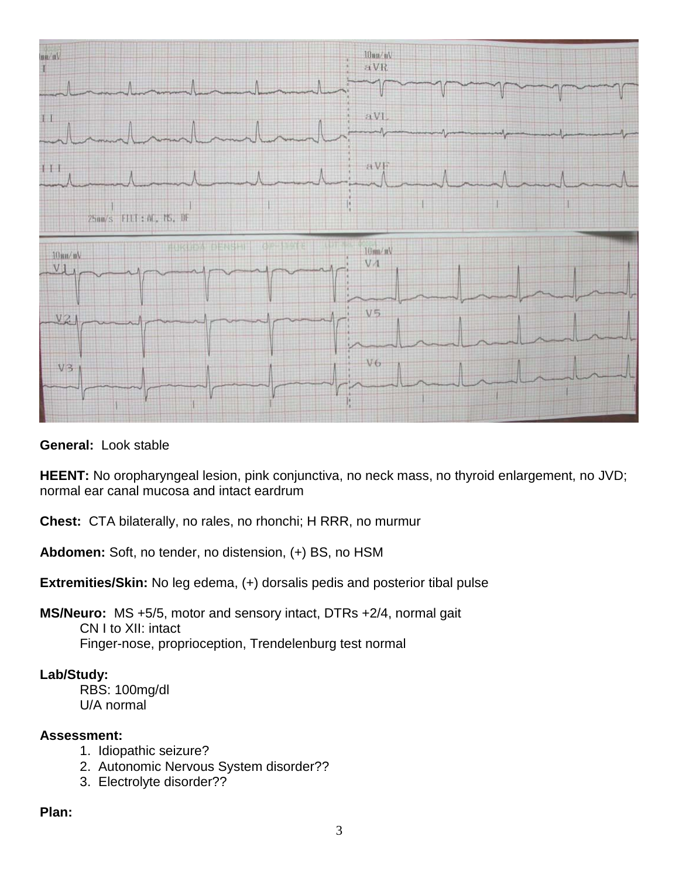

**General:** Look stable

**HEENT:** No oropharyngeal lesion, pink conjunctiva, no neck mass, no thyroid enlargement, no JVD; normal ear canal mucosa and intact eardrum

**Chest:** CTA bilaterally, no rales, no rhonchi; H RRR, no murmur

**Abdomen:** Soft, no tender, no distension, (+) BS, no HSM

**Extremities/Skin:** No leg edema, (+) dorsalis pedis and posterior tibal pulse

**MS/Neuro:** MS +5/5, motor and sensory intact, DTRs +2/4, normal gait CN I to XII: intact Finger-nose, proprioception, Trendelenburg test normal

# **Lab/Study:**

RBS: 100mg/dl U/A normal

# **Assessment:**

- 1. Idiopathic seizure?
- 2. Autonomic Nervous System disorder??
- 3. Electrolyte disorder??

# **Plan:**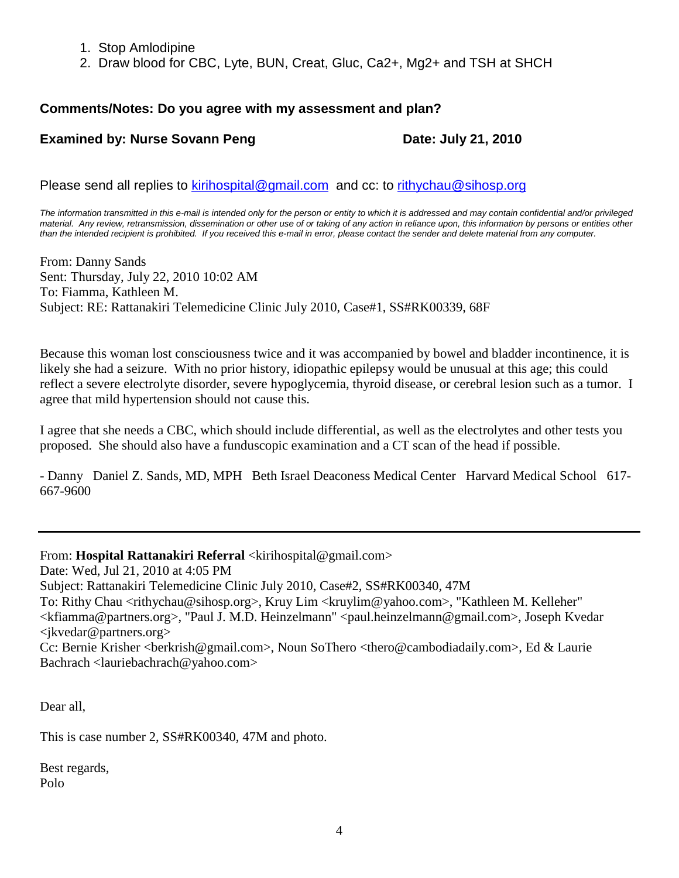- 1. Stop Amlodipine
- 2. Draw blood for CBC, Lyte, BUN, Creat, Gluc, Ca2+, Mg2+ and TSH at SHCH

# **Comments/Notes: Do you agree with my assessment and plan?**

# **Examined by: Nurse Sovann Peng Date: July 21, 2010**

Please send all replies to [kirihospital@gmail.com](mailto:kirihospital@gmail.com) and cc: to [rithychau@sihosp.org](mailto:rithychau@sihosp.org)

*The information transmitted in this e-mail is intended only for the person or entity to which it is addressed and may contain confidential and/or privileged material. Any review, retransmission, dissemination or other use of or taking of any action in reliance upon, this information by persons or entities other than the intended recipient is prohibited. If you received this e-mail in error, please contact the sender and delete material from any computer.*

From: Danny Sands Sent: Thursday, July 22, 2010 10:02 AM To: Fiamma, Kathleen M. Subject: RE: Rattanakiri Telemedicine Clinic July 2010, Case#1, SS#RK00339, 68F

Because this woman lost consciousness twice and it was accompanied by bowel and bladder incontinence, it is likely she had a seizure. With no prior history, idiopathic epilepsy would be unusual at this age; this could reflect a severe electrolyte disorder, severe hypoglycemia, thyroid disease, or cerebral lesion such as a tumor. I agree that mild hypertension should not cause this.

I agree that she needs a CBC, which should include differential, as well as the electrolytes and other tests you proposed. She should also have a funduscopic examination and a CT scan of the head if possible.

- Danny Daniel Z. Sands, MD, MPH Beth Israel Deaconess Medical Center Harvard Medical School 617- 667-9600

From: **Hospital Rattanakiri Referral** <kirihospital@gmail.com>

Date: Wed, Jul 21, 2010 at 4:05 PM

Subject: Rattanakiri Telemedicine Clinic July 2010, Case#2, SS#RK00340, 47M

To: Rithy Chau <rithychau@sihosp.org>, Kruy Lim <kruylim@yahoo.com>, "Kathleen M. Kelleher" <kfiamma@partners.org>, "Paul J. M.D. Heinzelmann" <paul.heinzelmann@gmail.com>, Joseph Kvedar  $\langle$  ikvedar@partners.org  $>$ 

Cc: Bernie Krisher <br/>berkrish@gmail.com>, Noun SoThero <thero@cambodiadaily.com>, Ed & Laurie Bachrach <lauriebachrach@yahoo.com>

Dear all,

This is case number 2, SS#RK00340, 47M and photo.

Best regards, Polo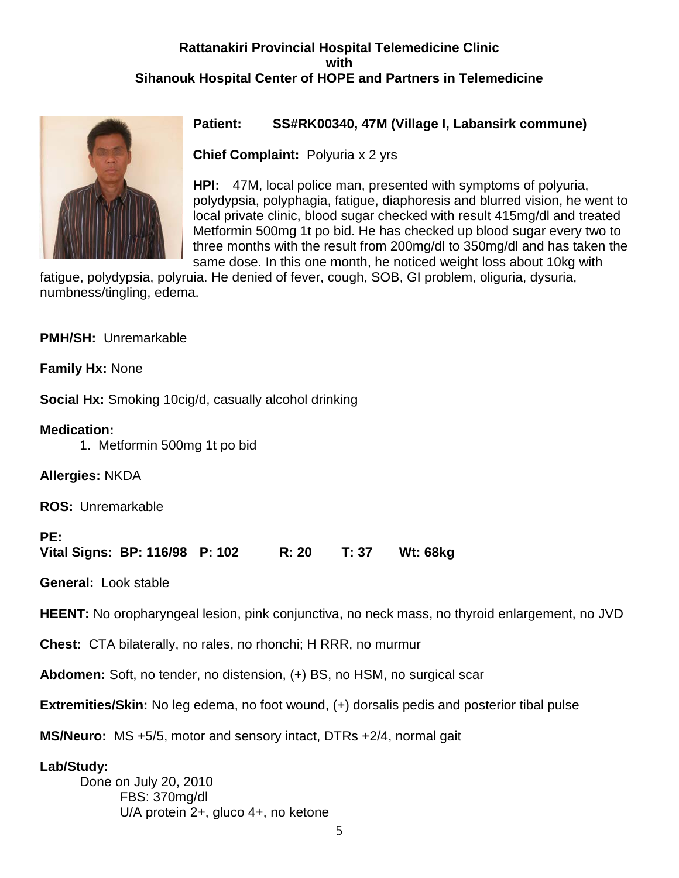# **Rattanakiri Provincial Hospital Telemedicine Clinic with Sihanouk Hospital Center of HOPE and Partners in Telemedicine**



# **Patient: SS#RK00340, 47M (Village I, Labansirk commune)**

**Chief Complaint:** Polyuria x 2 yrs

**HPI:** 47M, local police man, presented with symptoms of polyuria, polydypsia, polyphagia, fatigue, diaphoresis and blurred vision, he went to local private clinic, blood sugar checked with result 415mg/dl and treated Metformin 500mg 1t po bid. He has checked up blood sugar every two to three months with the result from 200mg/dl to 350mg/dl and has taken the same dose. In this one month, he noticed weight loss about 10kg with

fatigue, polydypsia, polyruia. He denied of fever, cough, SOB, GI problem, oliguria, dysuria, numbness/tingling, edema.

**PMH/SH:** Unremarkable

**Family Hx:** None

**Social Hx:** Smoking 10cig/d, casually alcohol drinking

# **Medication:**

1. Metformin 500mg 1t po bid

**Allergies:** NKDA

**ROS:** Unremarkable

# **PE:**

**Vital Signs: BP: 116/98 P: 102 R: 20 T: 37 Wt: 68kg**

**General:** Look stable

**HEENT:** No oropharyngeal lesion, pink conjunctiva, no neck mass, no thyroid enlargement, no JVD

**Chest:** CTA bilaterally, no rales, no rhonchi; H RRR, no murmur

**Abdomen:** Soft, no tender, no distension, (+) BS, no HSM, no surgical scar

**Extremities/Skin:** No leg edema, no foot wound, (+) dorsalis pedis and posterior tibal pulse

**MS/Neuro:** MS +5/5, motor and sensory intact, DTRs +2/4, normal gait

# **Lab/Study:**

Done on July 20, 2010 FBS: 370mg/dl U/A protein 2+, gluco 4+, no ketone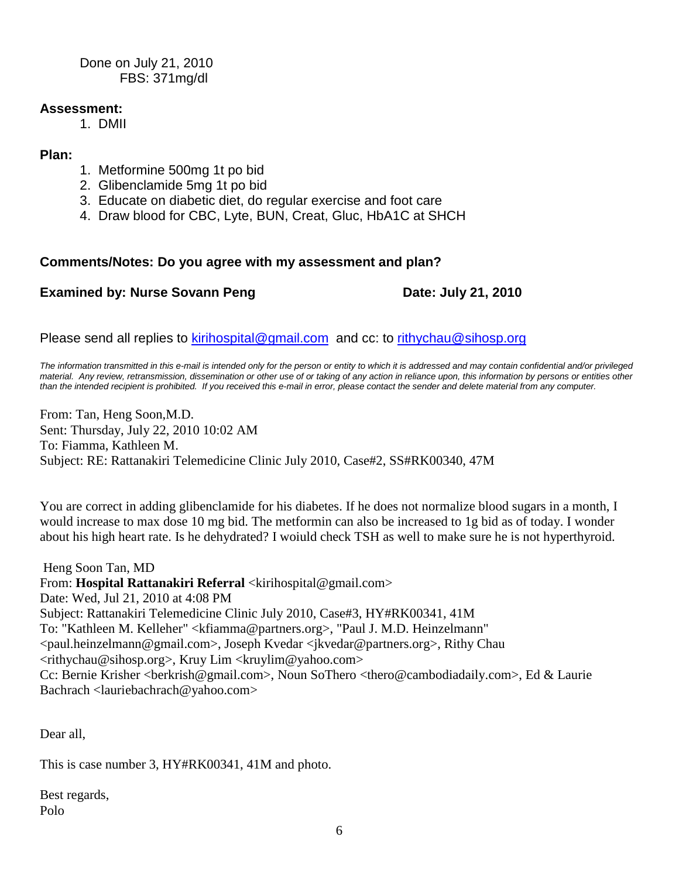Done on July 21, 2010 FBS: 371mg/dl

# **Assessment:**

1. DMII

### **Plan:**

- 1. Metformine 500mg 1t po bid
- 2. Glibenclamide 5mg 1t po bid
- 3. Educate on diabetic diet, do regular exercise and foot care
- 4. Draw blood for CBC, Lyte, BUN, Creat, Gluc, HbA1C at SHCH

# **Comments/Notes: Do you agree with my assessment and plan?**

# **Examined by: Nurse Sovann Peng Date: July 21, 2010**

Please send all replies to [kirihospital@gmail.com](mailto:kirihospital@gmail.com) and cc: to [rithychau@sihosp.org](mailto:rithychau@sihosp.org)

*The information transmitted in this e-mail is intended only for the person or entity to which it is addressed and may contain confidential and/or privileged material. Any review, retransmission, dissemination or other use of or taking of any action in reliance upon, this information by persons or entities other than the intended recipient is prohibited. If you received this e-mail in error, please contact the sender and delete material from any computer.*

From: Tan, Heng Soon,M.D. Sent: Thursday, July 22, 2010 10:02 AM To: Fiamma, Kathleen M. Subject: RE: Rattanakiri Telemedicine Clinic July 2010, Case#2, SS#RK00340, 47M

You are correct in adding glibenclamide for his diabetes. If he does not normalize blood sugars in a month, I would increase to max dose 10 mg bid. The metformin can also be increased to 1g bid as of today. I wonder about his high heart rate. Is he dehydrated? I woiuld check TSH as well to make sure he is not hyperthyroid.

Heng Soon Tan, MD From: **Hospital Rattanakiri Referral** <kirihospital@gmail.com> Date: Wed, Jul 21, 2010 at 4:08 PM Subject: Rattanakiri Telemedicine Clinic July 2010, Case#3, HY#RK00341, 41M To: "Kathleen M. Kelleher" <kfiamma@partners.org>, "Paul J. M.D. Heinzelmann" <paul.heinzelmann@gmail.com>, Joseph Kvedar <jkvedar@partners.org>, Rithy Chau  $\langle$ rithychau@sihosp.org>, Kruy Lim  $\langle$ kruylim@yahoo.com> Cc: Bernie Krisher <berkrish@gmail.com>, Noun SoThero <thero@cambodiadaily.com>, Ed & Laurie Bachrach <lauriebachrach@yahoo.com>

Dear all,

This is case number 3, HY#RK00341, 41M and photo.

Best regards, Polo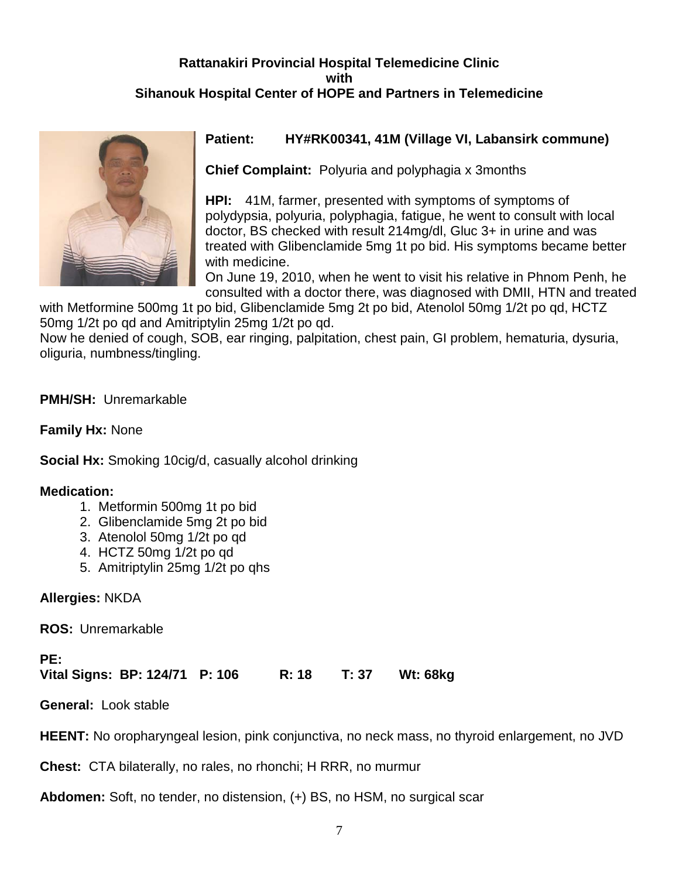# **Rattanakiri Provincial Hospital Telemedicine Clinic with Sihanouk Hospital Center of HOPE and Partners in Telemedicine**



# **Patient: HY#RK00341, 41M (Village VI, Labansirk commune)**

**Chief Complaint:** Polyuria and polyphagia x 3months

**HPI:** 41M, farmer, presented with symptoms of symptoms of polydypsia, polyuria, polyphagia, fatigue, he went to consult with local doctor, BS checked with result 214mg/dl, Gluc 3+ in urine and was treated with Glibenclamide 5mg 1t po bid. His symptoms became better with medicine.

On June 19, 2010, when he went to visit his relative in Phnom Penh, he consulted with a doctor there, was diagnosed with DMII, HTN and treated

with Metformine 500mg 1t po bid, Glibenclamide 5mg 2t po bid, Atenolol 50mg 1/2t po qd, HCTZ 50mg 1/2t po qd and Amitriptylin 25mg 1/2t po qd.

Now he denied of cough, SOB, ear ringing, palpitation, chest pain, GI problem, hematuria, dysuria, oliguria, numbness/tingling.

**PMH/SH:** Unremarkable

**Family Hx:** None

**Social Hx:** Smoking 10cig/d, casually alcohol drinking

# **Medication:**

- 1. Metformin 500mg 1t po bid
- 2. Glibenclamide 5mg 2t po bid
- 3. Atenolol 50mg 1/2t po qd
- 4. HCTZ 50mg 1/2t po qd
- 5. Amitriptylin 25mg 1/2t po qhs

**Allergies:** NKDA

**ROS:** Unremarkable

**PE:**

**Vital Signs: BP: 124/71 P: 106 R: 18 T: 37 Wt: 68kg**

**General:** Look stable

**HEENT:** No oropharyngeal lesion, pink conjunctiva, no neck mass, no thyroid enlargement, no JVD

**Chest:** CTA bilaterally, no rales, no rhonchi; H RRR, no murmur

**Abdomen:** Soft, no tender, no distension, (+) BS, no HSM, no surgical scar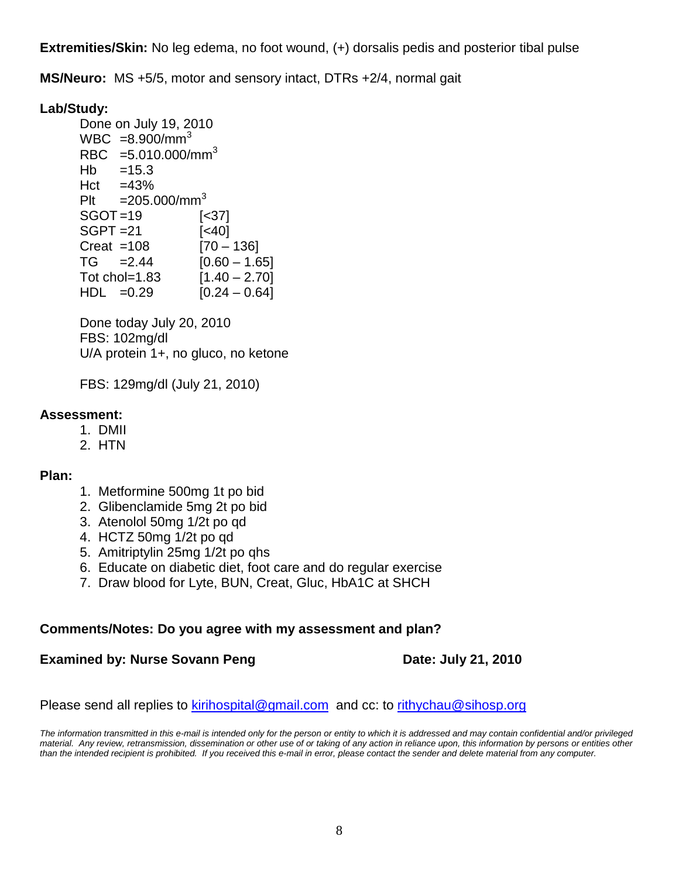**Extremities/Skin:** No leg edema, no foot wound, (+) dorsalis pedis and posterior tibal pulse

**MS/Neuro:** MS +5/5, motor and sensory intact, DTRs +2/4, normal gait

# **Lab/Study:**

Done on July 19, 2010  $WBC = 8.900/mm^3$ RBC  $=5.010.000/\text{mm}^3$  $Hb = 15.3$  $Hct = 43%$ Plt  $=205.000/\text{mm}^3$ SGOT =19 [<37] SGPT =21 [<40]  $Creat = 108$  [70 – 136]  $TG = 2.44$   $[0.60 - 1.65]$ Tot chol=1.83  $[1.40 - 2.70]$  $HDL$  =0.29 [0.24 – 0.64]

Done today July 20, 2010 FBS: 102mg/dl U/A protein 1+, no gluco, no ketone

FBS: 129mg/dl (July 21, 2010)

# **Assessment:**

- 1. DMII
- 2. HTN

# **Plan:**

- 1. Metformine 500mg 1t po bid
- 2. Glibenclamide 5mg 2t po bid
- 3. Atenolol 50mg 1/2t po qd
- 4. HCTZ 50mg 1/2t po qd
- 5. Amitriptylin 25mg 1/2t po qhs
- 6. Educate on diabetic diet, foot care and do regular exercise
- 7. Draw blood for Lyte, BUN, Creat, Gluc, HbA1C at SHCH

# **Comments/Notes: Do you agree with my assessment and plan?**

# **Examined by: Nurse Sovann Peng Date: July 21, 2010**

Please send all replies to [kirihospital@gmail.com](mailto:kirihospital@gmail.com) and cc: to [rithychau@sihosp.org](mailto:rithychau@sihosp.org)

*The information transmitted in this e-mail is intended only for the person or entity to which it is addressed and may contain confidential and/or privileged material. Any review, retransmission, dissemination or other use of or taking of any action in reliance upon, this information by persons or entities other than the intended recipient is prohibited. If you received this e-mail in error, please contact the sender and delete material from any computer.*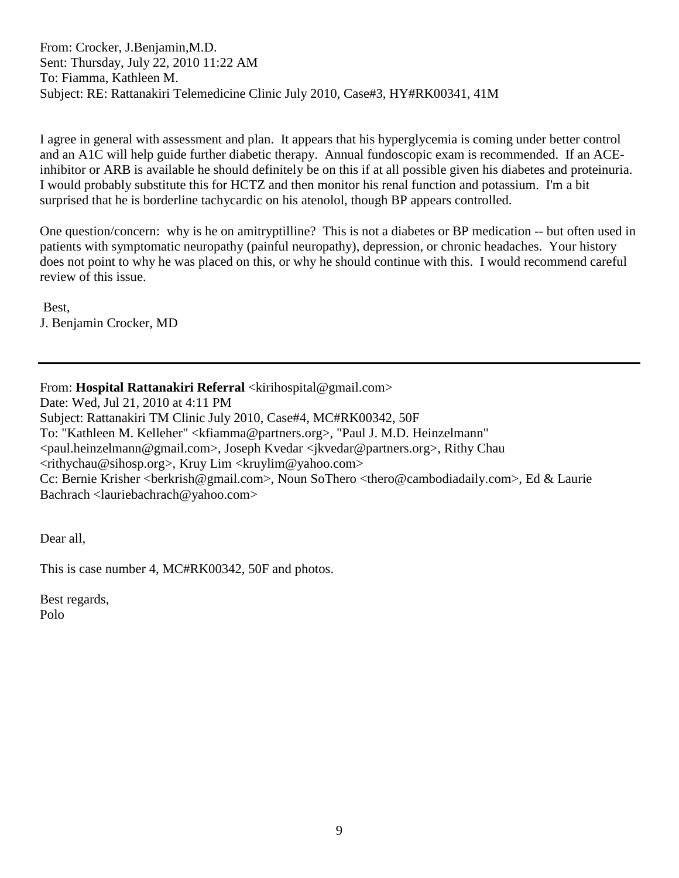From: Crocker, J.Benjamin,M.D. Sent: Thursday, July 22, 2010 11:22 AM To: Fiamma, Kathleen M. Subject: RE: Rattanakiri Telemedicine Clinic July 2010, Case#3, HY#RK00341, 41M

I agree in general with assessment and plan. It appears that his hyperglycemia is coming under better control and an A1C will help guide further diabetic therapy. Annual fundoscopic exam is recommended. If an ACEinhibitor or ARB is available he should definitely be on this if at all possible given his diabetes and proteinuria. I would probably substitute this for HCTZ and then monitor his renal function and potassium. I'm a bit surprised that he is borderline tachycardic on his atenolol, though BP appears controlled.

One question/concern: why is he on amitryptilline? This is not a diabetes or BP medication -- but often used in patients with symptomatic neuropathy (painful neuropathy), depression, or chronic headaches. Your history does not point to why he was placed on this, or why he should continue with this. I would recommend careful review of this issue.

Best, J. Benjamin Crocker, MD

From: **Hospital Rattanakiri Referral** <kirihospital@gmail.com> Date: Wed, Jul 21, 2010 at 4:11 PM Subject: Rattanakiri TM Clinic July 2010, Case#4, MC#RK00342, 50F To: "Kathleen M. Kelleher" <kfiamma@partners.org>, "Paul J. M.D. Heinzelmann" <paul.heinzelmann@gmail.com>, Joseph Kvedar <jkvedar@partners.org>, Rithy Chau  $\langle$ rithychau@sihosp.org>, Kruy Lim  $\langle$ kruylim@yahoo.com> Cc: Bernie Krisher <berkrish@gmail.com>, Noun SoThero <thero@cambodiadaily.com>, Ed & Laurie Bachrach <lauriebachrach@yahoo.com>

Dear all,

This is case number 4, MC#RK00342, 50F and photos.

Best regards, Polo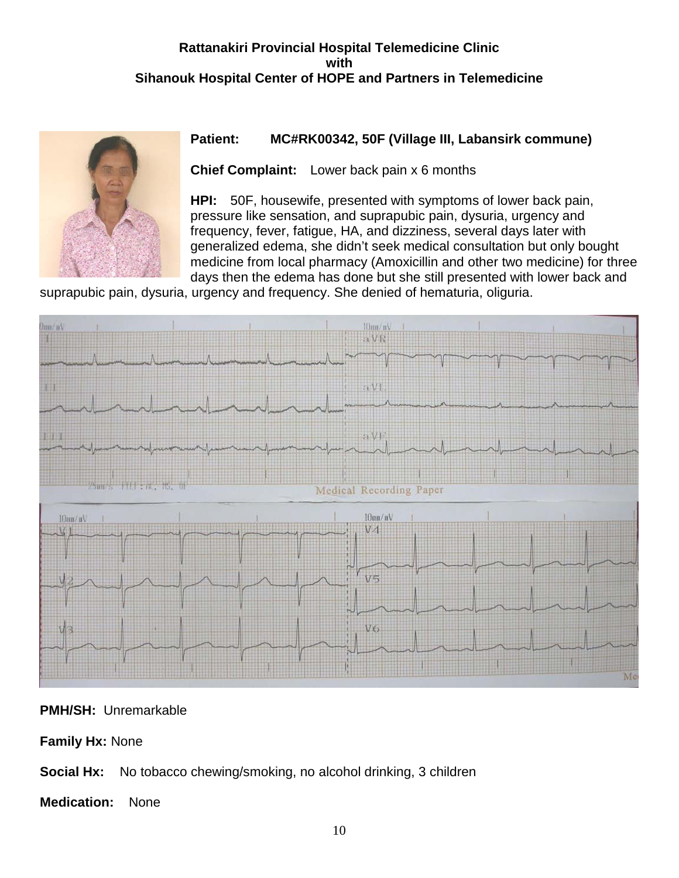# **Rattanakiri Provincial Hospital Telemedicine Clinic with Sihanouk Hospital Center of HOPE and Partners in Telemedicine**



# **Patient: MC#RK00342, 50F (Village III, Labansirk commune)**

**Chief Complaint:** Lower back pain x 6 months

**HPI:** 50F, housewife, presented with symptoms of lower back pain, pressure like sensation, and suprapubic pain, dysuria, urgency and frequency, fever, fatigue, HA, and dizziness, several days later with generalized edema, she didn't seek medical consultation but only bought medicine from local pharmacy (Amoxicillin and other two medicine) for three days then the edema has done but she still presented with lower back and

suprapubic pain, dysuria, urgency and frequency. She denied of hematuria, oliguria.



**PMH/SH:** Unremarkable

**Family Hx:** None

**Social Hx:** No tobacco chewing/smoking, no alcohol drinking, 3 children

**Medication:** None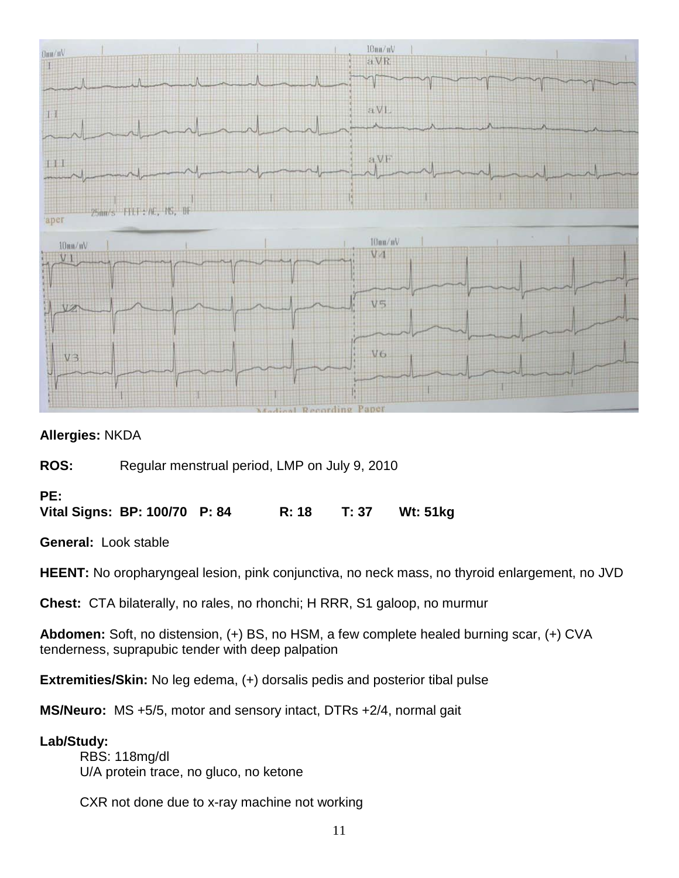

# **Allergies:** NKDA

**ROS:** Regular menstrual period, LMP on July 9, 2010

# **PE:**

**Vital Signs: BP: 100/70 P: 84 R: 18 T: 37 Wt: 51kg**

**General:** Look stable

**HEENT:** No oropharyngeal lesion, pink conjunctiva, no neck mass, no thyroid enlargement, no JVD

**Chest:** CTA bilaterally, no rales, no rhonchi; H RRR, S1 galoop, no murmur

**Abdomen:** Soft, no distension, (+) BS, no HSM, a few complete healed burning scar, (+) CVA tenderness, suprapubic tender with deep palpation

**Extremities/Skin:** No leg edema, (+) dorsalis pedis and posterior tibal pulse

**MS/Neuro:** MS +5/5, motor and sensory intact, DTRs +2/4, normal gait

# **Lab/Study:**

RBS: 118mg/dl U/A protein trace, no gluco, no ketone

CXR not done due to x-ray machine not working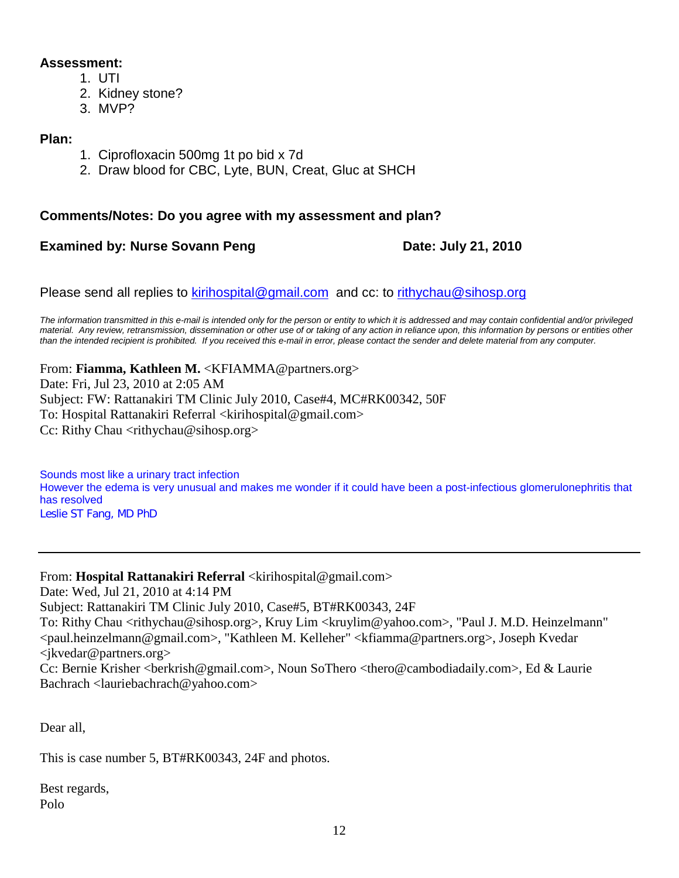## **Assessment:**

- 1. UTI
- 2. Kidney stone?
- 3. MVP?

### **Plan:**

- 1. Ciprofloxacin 500mg 1t po bid x 7d
- 2. Draw blood for CBC, Lyte, BUN, Creat, Gluc at SHCH

# **Comments/Notes: Do you agree with my assessment and plan?**

# **Examined by: Nurse Sovann Peng Date: July 21, 2010**

Please send all replies to [kirihospital@gmail.com](mailto:kirihospital@gmail.com) and cc: to [rithychau@sihosp.org](mailto:rithychau@sihosp.org)

*The information transmitted in this e-mail is intended only for the person or entity to which it is addressed and may contain confidential and/or privileged material. Any review, retransmission, dissemination or other use of or taking of any action in reliance upon, this information by persons or entities other than the intended recipient is prohibited. If you received this e-mail in error, please contact the sender and delete material from any computer.*

From: **Fiamma, Kathleen M.** <KFIAMMA@partners.org> Date: Fri, Jul 23, 2010 at 2:05 AM Subject: FW: Rattanakiri TM Clinic July 2010, Case#4, MC#RK00342, 50F To: Hospital Rattanakiri Referral <kirihospital@gmail.com> Cc: Rithy Chau <rithychau@sihosp.org>

Sounds most like a urinary tract infection However the edema is very unusual and makes me wonder if it could have been a post-infectious glomerulonephritis that has resolved Leslie ST Fang, MD PhD

From: **Hospital Rattanakiri Referral** <kirihospital@gmail.com>

Date: Wed, Jul 21, 2010 at 4:14 PM

Subject: Rattanakiri TM Clinic July 2010, Case#5, BT#RK00343, 24F

To: Rithy Chau <rithychau@sihosp.org>, Kruy Lim <kruylim@yahoo.com>, "Paul J. M.D. Heinzelmann" <paul.heinzelmann@gmail.com>, "Kathleen M. Kelleher" <kfiamma@partners.org>, Joseph Kvedar <jkvedar@partners.org>

Cc: Bernie Krisher <br/>berkrish@gmail.com>, Noun SoThero <thero@cambodiadaily.com>, Ed & Laurie Bachrach <lauriebachrach@yahoo.com>

Dear all,

This is case number 5, BT#RK00343, 24F and photos.

Best regards, Polo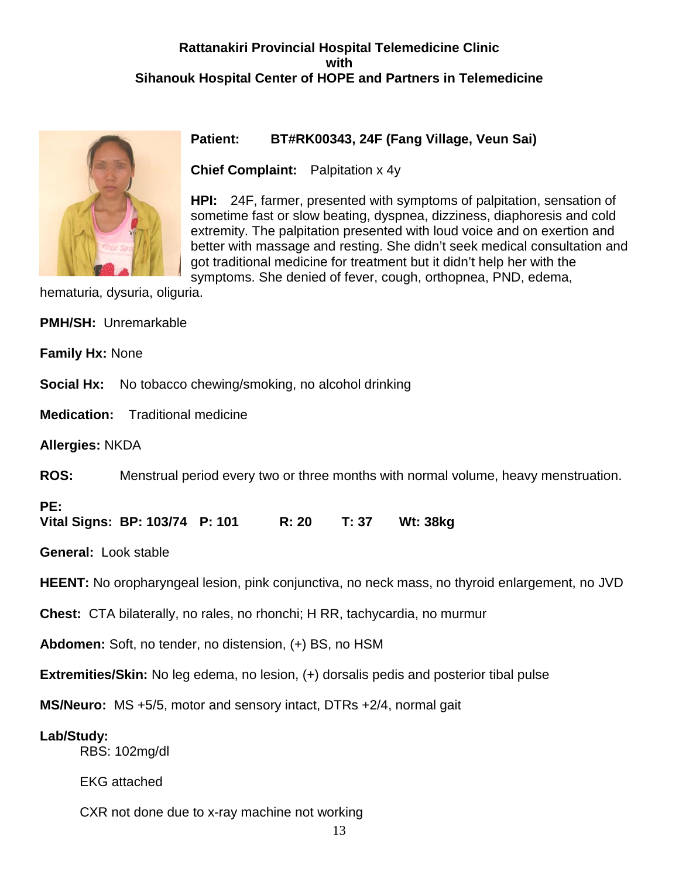# **Rattanakiri Provincial Hospital Telemedicine Clinic with Sihanouk Hospital Center of HOPE and Partners in Telemedicine**



# **Patient: BT#RK00343, 24F (Fang Village, Veun Sai)**

**Chief Complaint:** Palpitation x 4y

**HPI:** 24F, farmer, presented with symptoms of palpitation, sensation of sometime fast or slow beating, dyspnea, dizziness, diaphoresis and cold extremity. The palpitation presented with loud voice and on exertion and better with massage and resting. She didn't seek medical consultation and got traditional medicine for treatment but it didn't help her with the

symptoms. She denied of fever, cough, orthopnea, PND, edema,

hematuria, dysuria, oliguria.

| <b>PMH/SH: Unremarkable</b> |
|-----------------------------|
|                             |

**Family Hx:** None

**Social Hx:** No tobacco chewing/smoking, no alcohol drinking

**Medication:** Traditional medicine

**Allergies:** NKDA

**ROS:** Menstrual period every two or three months with normal volume, heavy menstruation.

**PE:**

**Vital Signs: BP: 103/74 P: 101 R: 20 T: 37 Wt: 38kg**

**General:** Look stable

**HEENT:** No oropharyngeal lesion, pink conjunctiva, no neck mass, no thyroid enlargement, no JVD

**Chest:** CTA bilaterally, no rales, no rhonchi; H RR, tachycardia, no murmur

**Abdomen:** Soft, no tender, no distension, (+) BS, no HSM

**Extremities/Skin:** No leg edema, no lesion, (+) dorsalis pedis and posterior tibal pulse

**MS/Neuro:** MS +5/5, motor and sensory intact, DTRs +2/4, normal gait

**Lab/Study:**

RBS: 102mg/dl

EKG attached

CXR not done due to x-ray machine not working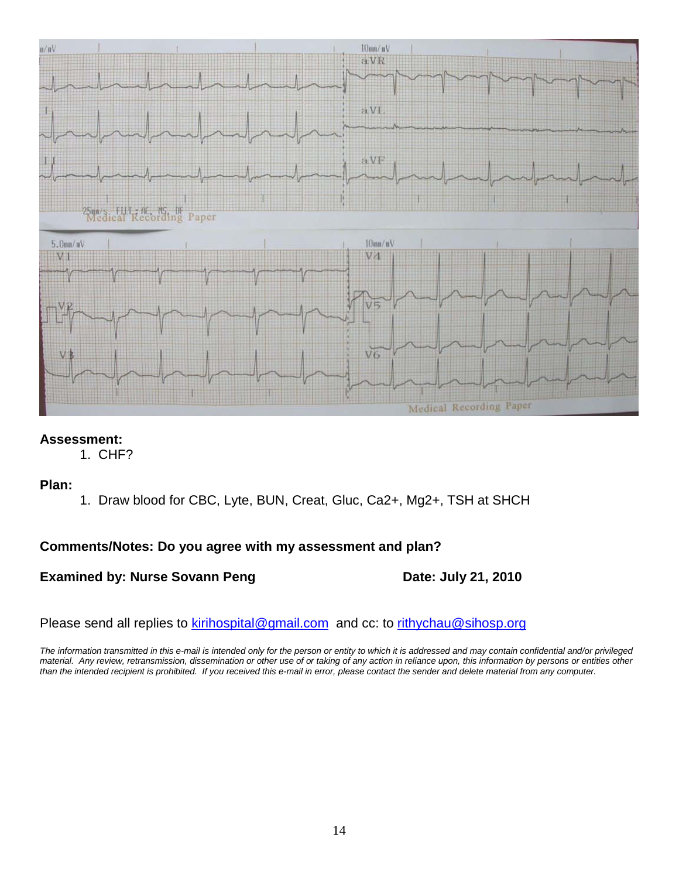

# **Assessment:**

1. CHF?

# **Plan:**

1. Draw blood for CBC, Lyte, BUN, Creat, Gluc, Ca2+, Mg2+, TSH at SHCH

# **Comments/Notes: Do you agree with my assessment and plan?**

**Examined by: Nurse Sovann Peng Date: July 21, 2010** 

Please send all replies to [kirihospital@gmail.com](mailto:kirihospital@gmail.com) and cc: to [rithychau@sihosp.org](mailto:rithychau@sihosp.org)

*The information transmitted in this e-mail is intended only for the person or entity to which it is addressed and may contain confidential and/or privileged material. Any review, retransmission, dissemination or other use of or taking of any action in reliance upon, this information by persons or entities other than the intended recipient is prohibited. If you received this e-mail in error, please contact the sender and delete material from any computer.*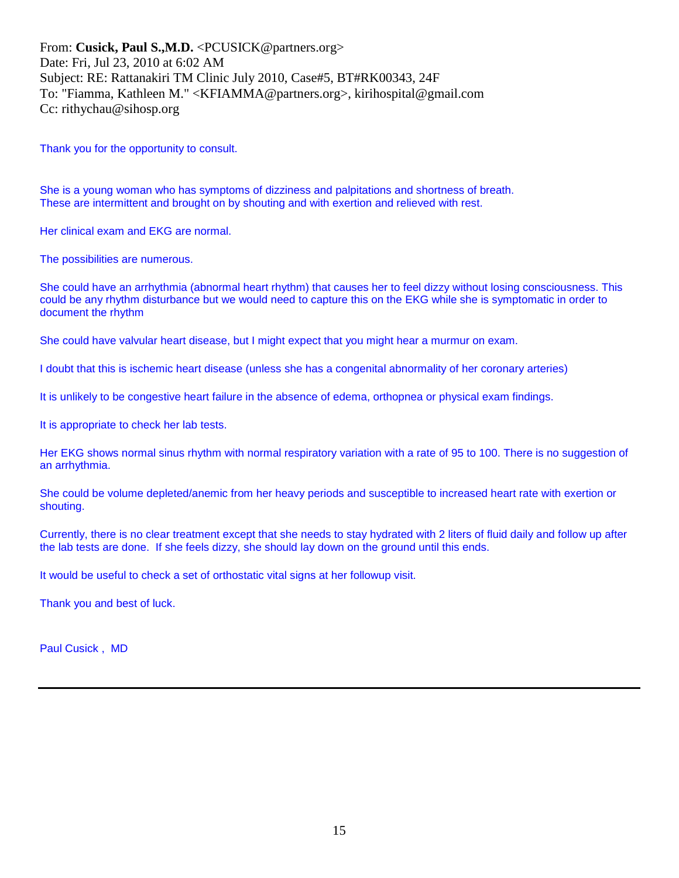From: **Cusick, Paul S.,M.D.** <PCUSICK@partners.org> Date: Fri, Jul 23, 2010 at 6:02 AM Subject: RE: Rattanakiri TM Clinic July 2010, Case#5, BT#RK00343, 24F To: "Fiamma, Kathleen M." <KFIAMMA@partners.org>, kirihospital@gmail.com Cc: rithychau@sihosp.org

Thank you for the opportunity to consult.

She is a young woman who has symptoms of dizziness and palpitations and shortness of breath. These are intermittent and brought on by shouting and with exertion and relieved with rest.

Her clinical exam and EKG are normal.

The possibilities are numerous.

She could have an arrhythmia (abnormal heart rhythm) that causes her to feel dizzy without losing consciousness. This could be any rhythm disturbance but we would need to capture this on the EKG while she is symptomatic in order to document the rhythm

She could have valvular heart disease, but I might expect that you might hear a murmur on exam.

I doubt that this is ischemic heart disease (unless she has a congenital abnormality of her coronary arteries)

It is unlikely to be congestive heart failure in the absence of edema, orthopnea or physical exam findings.

It is appropriate to check her lab tests.

Her EKG shows normal sinus rhythm with normal respiratory variation with a rate of 95 to 100. There is no suggestion of an arrhythmia.

She could be volume depleted/anemic from her heavy periods and susceptible to increased heart rate with exertion or shouting.

Currently, there is no clear treatment except that she needs to stay hydrated with 2 liters of fluid daily and follow up after the lab tests are done. If she feels dizzy, she should lay down on the ground until this ends.

It would be useful to check a set of orthostatic vital signs at her followup visit.

Thank you and best of luck.

Paul Cusick , MD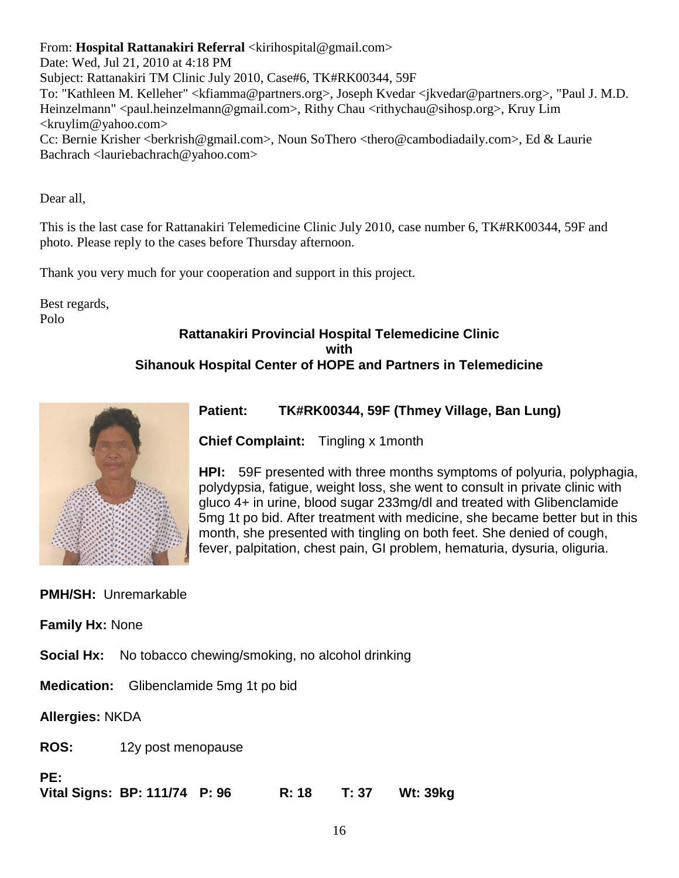From: **Hospital Rattanakiri Referral** <kirihospital@gmail.com>

Date: Wed, Jul 21, 2010 at 4:18 PM

Subject: Rattanakiri TM Clinic July 2010, Case#6, TK#RK00344, 59F

To: "Kathleen M. Kelleher" <kfiamma@partners.org>, Joseph Kvedar <jkvedar@partners.org>, "Paul J. M.D. Heinzelmann" <paul.heinzelmann@gmail.com>, Rithy Chau <rithychau@sihosp.org>, Kruy Lim  $\langle$ kruylim@yahoo.com $>$ 

Cc: Bernie Krisher <br/>berkrish@gmail.com>, Noun SoThero <thero@cambodiadaily.com>, Ed & Laurie Bachrach <lauriebachrach@yahoo.com>

Dear all,

This is the last case for Rattanakiri Telemedicine Clinic July 2010, case number 6, TK#RK00344, 59F and photo. Please reply to the cases before Thursday afternoon.

Thank you very much for your cooperation and support in this project.

Best regards, Polo

# **Rattanakiri Provincial Hospital Telemedicine Clinic with Sihanouk Hospital Center of HOPE and Partners in Telemedicine**



# **Patient: TK#RK00344, 59F (Thmey Village, Ban Lung)**

**Chief Complaint:** Tingling x 1month

**HPI:** 59F presented with three months symptoms of polyuria, polyphagia, polydypsia, fatigue, weight loss, she went to consult in private clinic with gluco 4+ in urine, blood sugar 233mg/dl and treated with Glibenclamide 5mg 1t po bid. After treatment with medicine, she became better but in this month, she presented with tingling on both feet. She denied of cough, fever, palpitation, chest pain, GI problem, hematuria, dysuria, oliguria.

# **PMH/SH:** Unremarkable

**Family Hx:** None

**Social Hx:** No tobacco chewing/smoking, no alcohol drinking

**Medication:** Glibenclamide 5mg 1t po bid

**Allergies:** NKDA

**ROS:** 12y post menopause

**PE:**

**Vital Signs: BP: 111/74 P: 96 R: 18 T: 37 Wt: 39kg**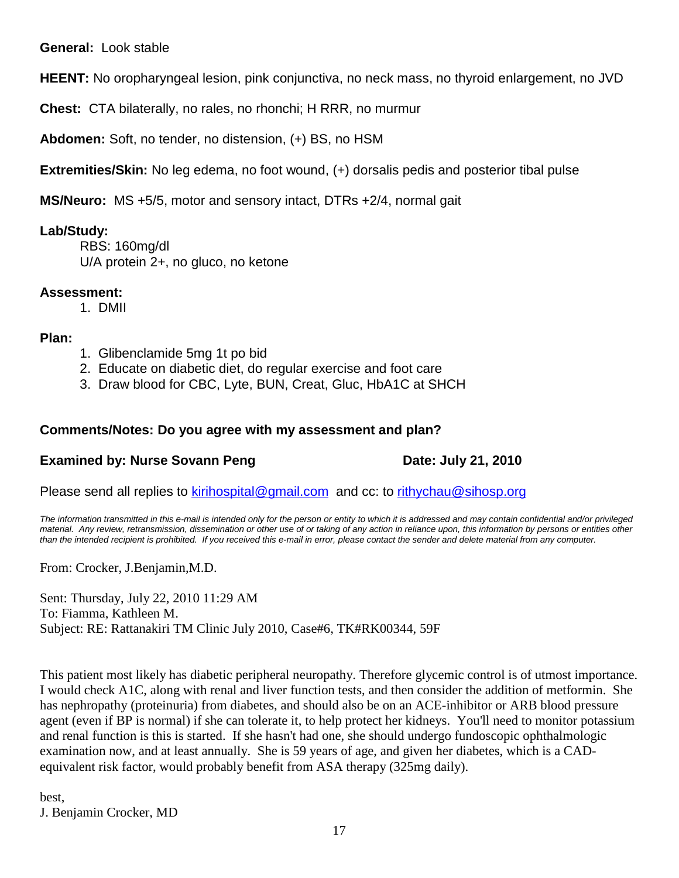**General:** Look stable

**HEENT:** No oropharyngeal lesion, pink conjunctiva, no neck mass, no thyroid enlargement, no JVD

**Chest:** CTA bilaterally, no rales, no rhonchi; H RRR, no murmur

**Abdomen:** Soft, no tender, no distension, (+) BS, no HSM

**Extremities/Skin:** No leg edema, no foot wound, (+) dorsalis pedis and posterior tibal pulse

**MS/Neuro:** MS +5/5, motor and sensory intact, DTRs +2/4, normal gait

# **Lab/Study:**

RBS: 160mg/dl U/A protein 2+, no gluco, no ketone

# **Assessment:**

1. DMII

# **Plan:**

- 1. Glibenclamide 5mg 1t po bid
- 2. Educate on diabetic diet, do regular exercise and foot care
- 3. Draw blood for CBC, Lyte, BUN, Creat, Gluc, HbA1C at SHCH

# **Comments/Notes: Do you agree with my assessment and plan?**

# **Examined by: Nurse Sovann Peng Date: July 21, 2010**

Please send all replies to [kirihospital@gmail.com](mailto:kirihospital@gmail.com) and cc: to [rithychau@sihosp.org](mailto:rithychau@sihosp.org)

*The information transmitted in this e-mail is intended only for the person or entity to which it is addressed and may contain confidential and/or privileged material. Any review, retransmission, dissemination or other use of or taking of any action in reliance upon, this information by persons or entities other than the intended recipient is prohibited. If you received this e-mail in error, please contact the sender and delete material from any computer.*

From: Crocker, J.Benjamin,M.D.

Sent: Thursday, July 22, 2010 11:29 AM To: Fiamma, Kathleen M. Subject: RE: Rattanakiri TM Clinic July 2010, Case#6, TK#RK00344, 59F

This patient most likely has diabetic peripheral neuropathy. Therefore glycemic control is of utmost importance. I would check A1C, along with renal and liver function tests, and then consider the addition of metformin. She has nephropathy (proteinuria) from diabetes, and should also be on an ACE-inhibitor or ARB blood pressure agent (even if BP is normal) if she can tolerate it, to help protect her kidneys. You'll need to monitor potassium and renal function is this is started. If she hasn't had one, she should undergo fundoscopic ophthalmologic examination now, and at least annually. She is 59 years of age, and given her diabetes, which is a CADequivalent risk factor, would probably benefit from ASA therapy (325mg daily).

best, J. Benjamin Crocker, MD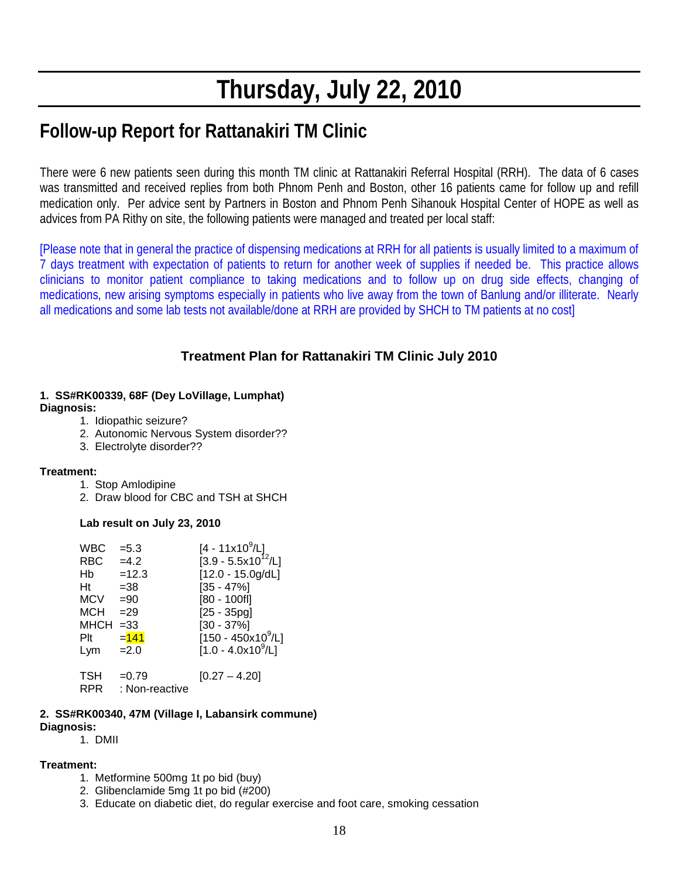# **Thursday, July 22, 2010**

# **Follow-up Report for Rattanakiri TM Clinic**

There were 6 new patients seen during this month TM clinic at Rattanakiri Referral Hospital (RRH). The data of 6 cases was transmitted and received replies from both Phnom Penh and Boston, other 16 patients came for follow up and refill medication only. Per advice sent by Partners in Boston and Phnom Penh Sihanouk Hospital Center of HOPE as well as advices from PA Rithy on site, the following patients were managed and treated per local staff:

[Please note that in general the practice of dispensing medications at RRH for all patients is usually limited to a maximum of 7 days treatment with expectation of patients to return for another week of supplies if needed be. This practice allows clinicians to monitor patient compliance to taking medications and to follow up on drug side effects, changing of medications, new arising symptoms especially in patients who live away from the town of Banlung and/or illiterate. Nearly all medications and some lab tests not available/done at RRH are provided by SHCH to TM patients at no cost]

# **Treatment Plan for Rattanakiri TM Clinic July 2010**

#### **1. SS#RK00339, 68F (Dey LoVillage, Lumphat) Diagnosis:**

- 1. Idiopathic seizure?
- 2. Autonomic Nervous System disorder??
- 3. Electrolyte disorder??

### **Treatment:**

- 1. Stop Amlodipine
- 2. Draw blood for CBC and TSH at SHCH

### **Lab result on July 23, 2010**

| <b>WBC</b><br><b>RBC</b><br>Hb<br>Ht<br><b>MCV</b><br><b>MCH</b><br><b>MHCH</b> | $= 5.3$<br>$=4.2$<br>$=12.3$<br>$=38$<br>$= 90$<br>$=29$<br>$= 33$ | [4 - 11x10 <sup>9</sup> /L]<br>[3.9 - 5.5x10 <sup>12</sup> /L]<br>$[12.0 - 15.0g/dL]$<br>$[35 - 47\%]$<br>$[80 - 100f]$<br>$[25 - 35pg]$<br>$[30 - 37\%]$ |
|---------------------------------------------------------------------------------|--------------------------------------------------------------------|-----------------------------------------------------------------------------------------------------------------------------------------------------------|
| Plt                                                                             | $= 141$                                                            | [150 - 450x10 <sup>9</sup> /L]                                                                                                                            |
| Lym                                                                             | $=2.0$                                                             | $[1.0 - 4.0x10^9/L]$                                                                                                                                      |
| TSH<br><b>RPR</b>                                                               | $=0.79$<br>: Non-reactive                                          | $[0.27 - 4.20]$                                                                                                                                           |

#### **2. SS#RK00340, 47M (Village I, Labansirk commune)**

#### **Diagnosis:**

1. DMII

#### **Treatment:**

- 1. Metformine 500mg 1t po bid (buy)
- 2. Glibenclamide 5mg 1t po bid (#200)
- 3. Educate on diabetic diet, do regular exercise and foot care, smoking cessation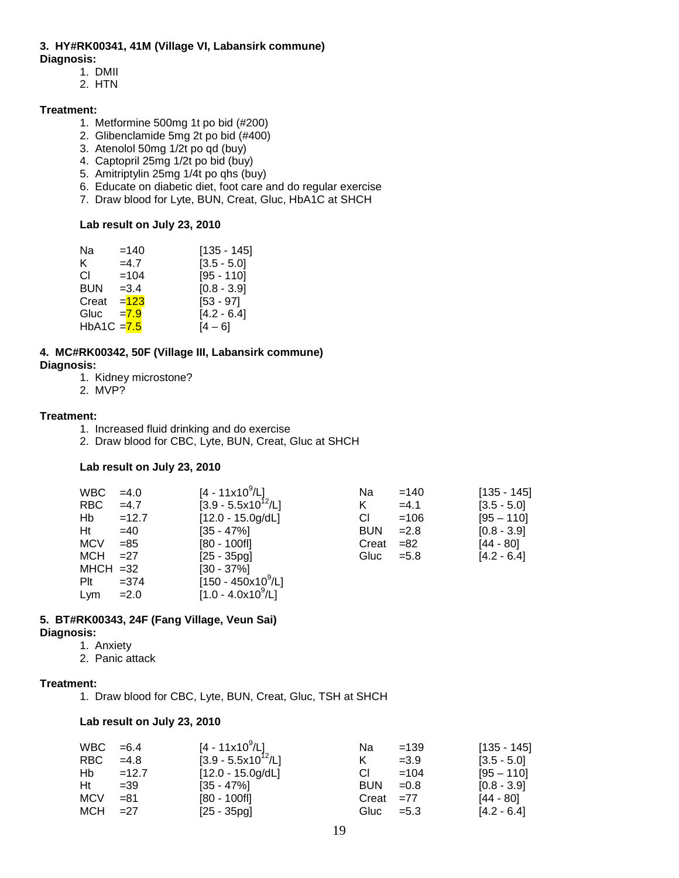# **3. HY#RK00341, 41M (Village VI, Labansirk commune)**

- **Diagnosis:**
	- 1. DMII
	- 2. HTN

#### **Treatment:**

- 1. Metformine 500mg 1t po bid (#200)
- 2. Glibenclamide 5mg 2t po bid (#400)
- 3. Atenolol 50mg 1/2t po qd (buy)
- 4. Captopril 25mg 1/2t po bid (buy)
- 5. Amitriptylin 25mg 1/4t po qhs (buy)
- 6. Educate on diabetic diet, foot care and do regular exercise
- 7. Draw blood for Lyte, BUN, Creat, Gluc, HbA1C at SHCH

#### **Lab result on July 23, 2010**

| Na            | $=140$ | $[135 - 145]$ |
|---------------|--------|---------------|
| K.            | $=4.7$ | $[3.5 - 5.0]$ |
| СI            | $=104$ | $[95 - 110]$  |
| <b>BUN</b>    | $=3.4$ | $[0.8 - 3.9]$ |
| Creat         | $=123$ | $[53 - 97]$   |
| Gluc          | $=7.9$ | $[4.2 - 6.4]$ |
| HbA1C $= 7.5$ |        | $[4 - 6]$     |
|               |        |               |

#### **4. MC#RK00342, 50F (Village III, Labansirk commune) Diagnosis:**

- 1. Kidney microstone?
- 2. MVP?

#### **Treatment:**

- 1. Increased fluid drinking and do exercise
- 2. Draw blood for CBC, Lyte, BUN, Creat, Gluc at SHCH

#### **Lab result on July 23, 2010**

| <b>WBC</b>  | $=4.0$  | [4 - 11x10 <sup>9</sup> /L] | Na         | $=140$  | $[135 - 145]$ |
|-------------|---------|-----------------------------|------------|---------|---------------|
| <b>RBC</b>  | $=4.7$  | $[3.9 - 5.5x10^{12} / L]$   | K          | $=4.1$  | $[3.5 - 5.0]$ |
| Hb          | $=12.7$ | $[12.0 - 15.0g/dL]$         | CI.        | $=106$  | $[95 - 110]$  |
| Ht          | $=40$   | $[35 - 47\%]$               | <b>BUN</b> | $=2.8$  | $[0.8 - 3.9]$ |
| <b>MCV</b>  | $= 85$  | $[80 - 100$ fl]             | Creat      | $= 82$  | $[44 - 80]$   |
| MCH         | $=27$   | $[25 - 35pq]$               | Gluc       | $= 5.8$ | $[4.2 - 6.4]$ |
| $MHCH = 32$ |         | $[30 - 37\%]$               |            |         |               |
| Plt         | $= 374$ | $[150 - 450x10^9/L]$        |            |         |               |
| Lym         | $= 2.0$ | $[1.0 - 4.0x10^9/L]$        |            |         |               |

#### **5. BT#RK00343, 24F (Fang Village, Veun Sai) Diagnosis:**

1. Anxiety

2. Panic attack

#### **Treatment:**

1. Draw blood for CBC, Lyte, BUN, Creat, Gluc, TSH at SHCH

#### **Lab result on July 23, 2010**

| $WBC = 6.4$ |         | [4 - 11x10 <sup>9</sup> /L] | Na            | $=139$  | $[135 - 145]$ |
|-------------|---------|-----------------------------|---------------|---------|---------------|
| RBC.        | $=4.8$  | $[3.9 - 5.5x10^{12} / L]$   |               | $=3.9$  | $[3.5 - 5.0]$ |
| Hb          | $=12.7$ | $[12.0 - 15.0g/dL]$         | СI            | $=104$  | $[95 - 110]$  |
| Ht          | $=39$   | $[35 - 47\%]$               | <b>BUN</b>    | $=0.8$  | $[0.8 - 3.9]$ |
| MCV         | =81     | $[80 - 100$ fl]             | $Create = 77$ |         | [44 - 80]     |
| MCH =27     |         | $[25 - 35pg]$               | Gluc          | $= 5.3$ | $[4.2 - 6.4]$ |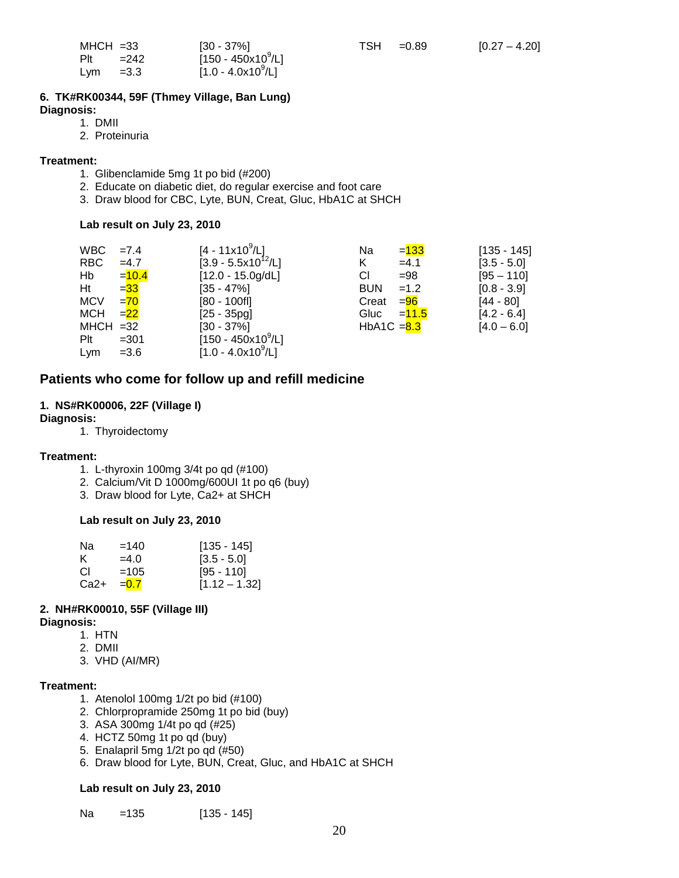| $MHCH = 33$ |        | $[30 - 37\%]$                  |
|-------------|--------|--------------------------------|
| $P$ lt      | $=242$ | [150 - 450x10 <sup>9</sup> /L] |
| Lym         | $=3.3$ | [1.0 - 4.0x10 <sup>9</sup> /L] |

#### **6. TK#RK00344, 59F (Thmey Village, Ban Lung)**

**Diagnosis:**

- 1. DMII
- 2. Proteinuria

#### **Treatment:**

- 1. Glibenclamide 5mg 1t po bid (#200)
- 2. Educate on diabetic diet, do regular exercise and foot care
- 3. Draw blood for CBC, Lyte, BUN, Creat, Gluc, HbA1C at SHCH

#### **Lab result on July 23, 2010**

| <b>WBC</b>  | $=7.4$   | $[4 - 11x10^9/L]$                  | Na            | $= 133$             | $[135 - 145]$ |
|-------------|----------|------------------------------------|---------------|---------------------|---------------|
| <b>RBC</b>  | $=4.7$   | $[3.9 - 5.5x10^{12}/L]$            | K             | $=4.1$              | $[3.5 - 5.0]$ |
| Hb          | $= 10.4$ | $[12.0 - 15.0g/dL]$                | СI            | $= 98$              | $[95 - 110]$  |
| Ht          | $= 33$   | $[35 - 47\%]$                      | <b>BUN</b>    | $=1.2$              | $[0.8 - 3.9]$ |
| <b>MCV</b>  | $= 70$   | $[80 - 100f]$                      | Creat         | = <mark>96</mark>   | $[44 - 80]$   |
| <b>MCH</b>  | $=22$    | $[25 - 35pq]$                      | Gluc          | = <mark>11.5</mark> | $[4.2 - 6.4]$ |
| $MHCH = 32$ |          | $[30 - 37\%]$                      | HbA1C $= 8.3$ |                     | $[4.0 - 6.0]$ |
| $P$ lt      | $=301$   | $[150 - 450 \times 10^9/\text{L}]$ |               |                     |               |
| Lym         | $= 3.6$  | $[1.0 - 4.0x10^9/L]$               |               |                     |               |

### **Patients who come for follow up and refill medicine**

#### **1. NS#RK00006, 22F (Village I)**

- **Diagnosis:**
	- 1. Thyroidectomy

#### **Treatment:**

- 1. L-thyroxin 100mg 3/4t po qd (#100)
- 2. Calcium/Vit D 1000mg/600UI 1t po q6 (buy)
- 3. Draw blood for Lyte, Ca2+ at SHCH

#### **Lab result on July 23, 2010**

| Na   | $=140$  | [135 - 145]     |
|------|---------|-----------------|
| K.   | $=4.0$  | $[3.5 - 5.0]$   |
| СI   | $=105$  | [95 - 110]      |
| Ca2+ | $= 0.7$ | $[1.12 - 1.32]$ |

#### **2. NH#RK00010, 55F (Village III)**

- **Diagnosis:**
	- 1. HTN
	- 2. DMII
	- 3. VHD (AI/MR)

#### **Treatment:**

- 1. Atenolol 100mg 1/2t po bid (#100)
- 2. Chlorpropramide 250mg 1t po bid (buy)
- 3. ASA 300mg 1/4t po qd (#25)
- 4. HCTZ 50mg 1t po qd (buy)
- 5. Enalapril 5mg 1/2t po qd (#50)
- 6. Draw blood for Lyte, BUN, Creat, Gluc, and HbA1C at SHCH

#### **Lab result on July 23, 2010**

Na = 135 [135 - 145]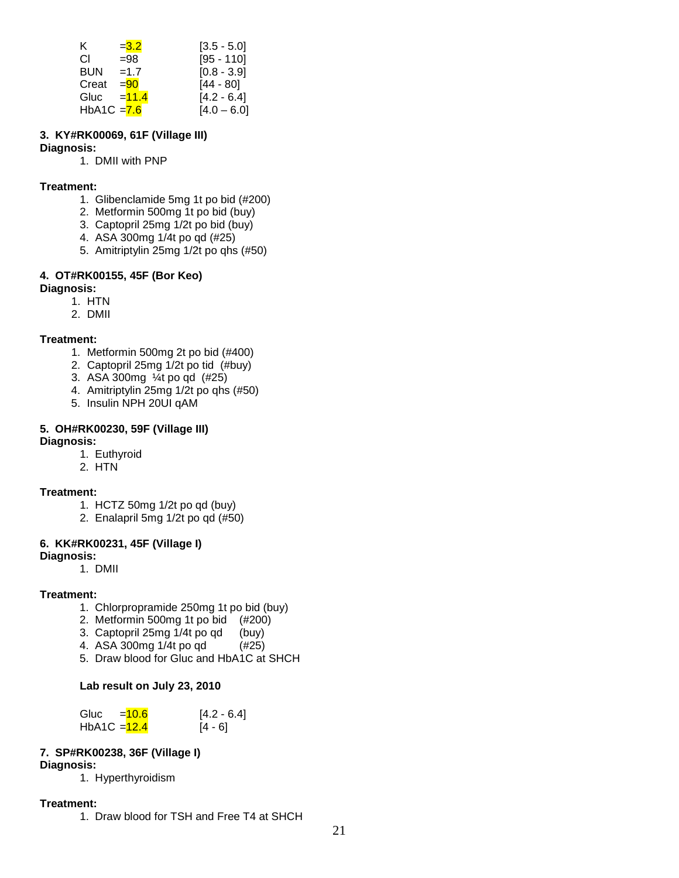| K.            | $= 3.2$  | $[3.5 - 5.0]$ |
|---------------|----------|---------------|
| CI.           | $= 98$   | $[95 - 110]$  |
| <b>BUN</b>    | $=1.7$   | $[0.8 - 3.9]$ |
| Creat         | $= 90$   | [44 - 80]     |
| Gluc          | $= 11.4$ | $[4.2 - 6.4]$ |
| HbA1C $= 7.6$ |          | $[4.0 - 6.0]$ |

#### **3. KY#RK00069, 61F (Village III)**

#### **Diagnosis:**

1. DMII with PNP

#### **Treatment:**

- 1. Glibenclamide 5mg 1t po bid (#200)
- 2. Metformin 500mg 1t po bid (buy)
- 3. Captopril 25mg 1/2t po bid (buy)
- 4. ASA 300mg 1/4t po qd (#25)
- 5. Amitriptylin 25mg 1/2t po qhs (#50)

#### **4. OT#RK00155, 45F (Bor Keo)**

#### **Diagnosis:**

- 1. HTN
- 2. DMII

#### **Treatment:**

- 1. Metformin 500mg 2t po bid (#400)
- 2. Captopril 25mg 1/2t po tid (#buy)
- 3. ASA 300mg ¼t po qd (#25)
- 4. Amitriptylin 25mg 1/2t po qhs (#50)
- 5. Insulin NPH 20UI qAM

# **5. OH#RK00230, 59F (Village III)**

# **Diagnosis:**

- 1. Euthyroid
- 2. HTN

### **Treatment:**

- 1. HCTZ 50mg 1/2t po qd (buy)
- 2. Enalapril 5mg 1/2t po qd (#50)

### **6. KK#RK00231, 45F (Village I)**

#### **Diagnosis:**

1. DMII

#### **Treatment:**

- 1. Chlorpropramide 250mg 1t po bid (buy)
- 2. Metformin 500mg 1t po bid (#200)
- 3. Captopril 25mg 1/4t po qd (buy)<br>4. ASA 300mg 1/4t po qd (#25)
- 4. ASA  $300$ mg  $1/4$ t po qd
- 5. Draw blood for Gluc and HbA1C at SHCH

#### **Lab result on July 23, 2010**

| Gluc           | $= 10.6$ | $[4.2 - 6.4]$ |
|----------------|----------|---------------|
| HbA1C $=$ 12.4 |          | $[4 - 6]$     |

### **7. SP#RK00238, 36F (Village I)**

#### **Diagnosis:**

1. Hyperthyroidism

### **Treatment:**

1. Draw blood for TSH and Free T4 at SHCH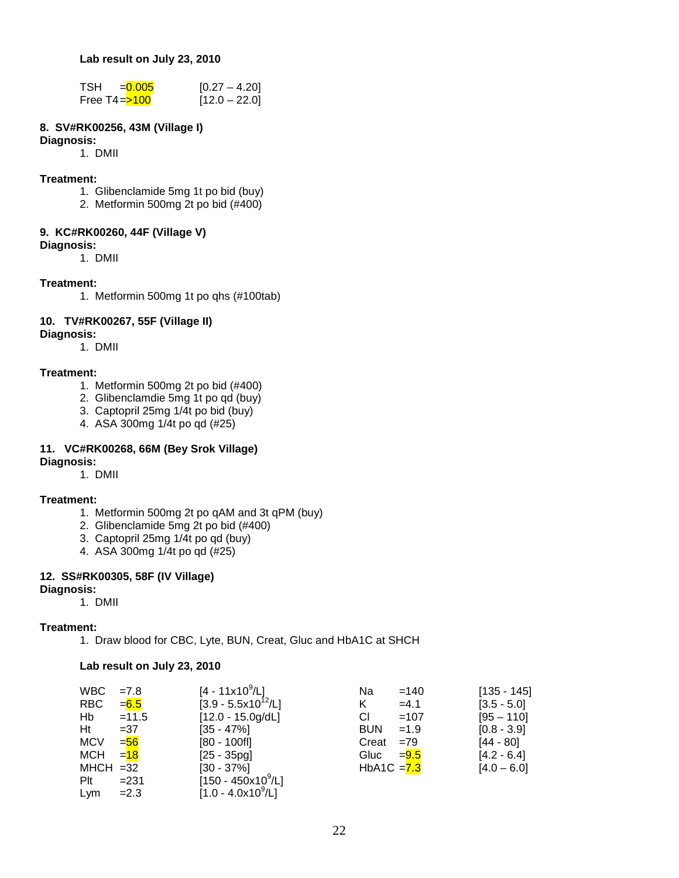**Lab result on July 23, 2010**

| TSH<br>$= 0.005$ | $[0.27 - 4.20]$ |
|------------------|-----------------|
| Free $T4 = 100$  | $[12.0 - 22.0]$ |

#### **8. SV#RK00256, 43M (Village I)**

#### **Diagnosis:**

1. DMII

#### **Treatment:**

- 1. Glibenclamide 5mg 1t po bid (buy)
- 2. Metformin 500mg 2t po bid (#400)

#### **9. KC#RK00260, 44F (Village V) Diagnosis:**

1. DMII

#### **Treatment:**

1. Metformin 500mg 1t po qhs (#100tab)

# **10. TV#RK00267, 55F (Village II)**

#### **Diagnosis:**

1. DMII

#### **Treatment:**

- 1. Metformin 500mg 2t po bid (#400)
- 2. Glibenclamdie 5mg 1t po qd (buy)
- 3. Captopril 25mg 1/4t po bid (buy)
- 4. ASA 300mg 1/4t po qd (#25)

#### **11. VC#RK00268, 66M (Bey Srok Village) Diagnosis:**

1. DMII

#### **Treatment:**

- 1. Metformin 500mg 2t po qAM and 3t qPM (buy)
- 2. Glibenclamide 5mg 2t po bid (#400)
- 3. Captopril 25mg 1/4t po qd (buy)
- 4. ASA 300mg 1/4t po qd (#25)

#### **12. SS#RK00305, 58F (IV Village) Diagnosis:**

1. DMII

#### **Treatment:**

1. Draw blood for CBC, Lyte, BUN, Creat, Gluc and HbA1C at SHCH

#### **Lab result on July 23, 2010**

| <b>WBC</b>  | $=7.8$  | [4 - 11x10 $^9$ /L]     | Na            | $=140$  | $[135 - 145]$ |
|-------------|---------|-------------------------|---------------|---------|---------------|
| <b>RBC</b>  | $= 6.5$ | $[3.9 - 5.5x10^{12}/L]$ | Κ             | $=4.1$  | $[3.5 - 5.0]$ |
| Hb          | $=11.5$ | $[12.0 - 15.0g/dL]$     | CI.           | $=107$  | $[95 - 110]$  |
| Ht          | $= 37$  | $[35 - 47\%]$           | <b>BUN</b>    | $=1.9$  | $[0.8 - 3.9]$ |
| <b>MCV</b>  | $= 56$  | $[80 - 100$ fl]         | Creat         | $=79$   | $[44 - 80]$   |
| <b>MCH</b>  | $= 18$  | $[25 - 35pg]$           | Gluc          | $= 9.5$ | $[4.2 - 6.4]$ |
| $MHCH = 32$ |         | $[30 - 37\%]$           | HbA1C $= 7.3$ |         | $[4.0 - 6.0]$ |
| Plt         | $= 231$ | $[150 - 450x10^9/L]$    |               |         |               |
| Lym         | $=2.3$  | $[1.0 - 4.0x10^9/L]$    |               |         |               |